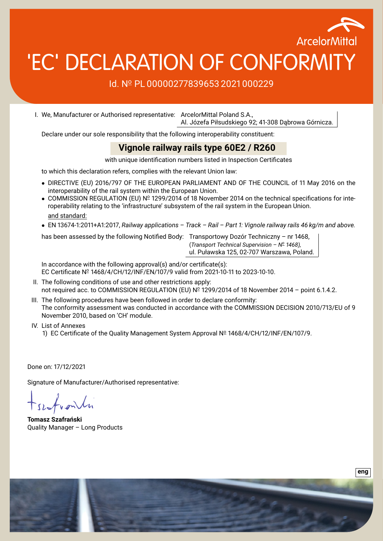

# 'EC' DECLARATION OF CONFORMIT

#### Id. Nº PL 00000277839653 2021 000229

I. We, Manufacturer or Authorised representative: ArcelorMittal Poland S.A., Al. Józefa Piłsudskiego 92; 41-308 Dąbrowa Górnicza.

Declare under our sole responsibility that the following interoperability constituent:

#### **Vignole railway rails type 60E2 / R260**

with unique identification numbers listed in Inspection Certificates

to which this declaration refers, complies with the relevant Union law:

- DIRECTIVE (EU) 2016/797 OF THE EUROPEAN PARLIAMENT AND OF THE COUNCIL of 11 May 2016 on the interoperability of the rail system within the European Union.
- COMMISSION REGULATION (EU) Nº 1299/2014 of 18 November 2014 on the technical specifications for interoperability relating to the 'infrastructure' subsystem of the rail system in the European Union. and standard:
- EN 13674-1:2011+A1:2017, *Railway applications Track Rail Part 1: Vignole railway rails 46 kg/m and above.*

has been assessed by the following Notified Body: Transportowy Dozór Techniczny – nr 1468.

(*Transport Technical Supervision – N<sup>o</sup> 1468),* ul. Puławska 125, 02-707 Warszawa, Poland.

In accordance with the following approval(s) and/or certificate(s): EC Certificate Nº 1468/4/CH/12/INF/EN/107/9 valid from 2021-10-11 to 2023-10-10.

- II. The following conditions of use and other restrictions apply: not required acc. to COMMISSION REGULATION (EU) Nº 1299/2014 of 18 November 2014 - point 6.1.4.2.
- III. The following procedures have been followed in order to declare conformity: The conformity assessment was conducted in accordance with the COMMISSION DECISION 2010/713/EU of 9 November 2010, based on 'CH' module.
- IV. List of Annexes
	- 1) EC Certificate of the Quality Management System Approval Nº 1468/4/CH/12/INF/EN/107/9.

Done on: 17/12/2021

Signature of Manufacturer/Authorised representative:

**Tomasz Szafrański** Quality Manager – Long Products